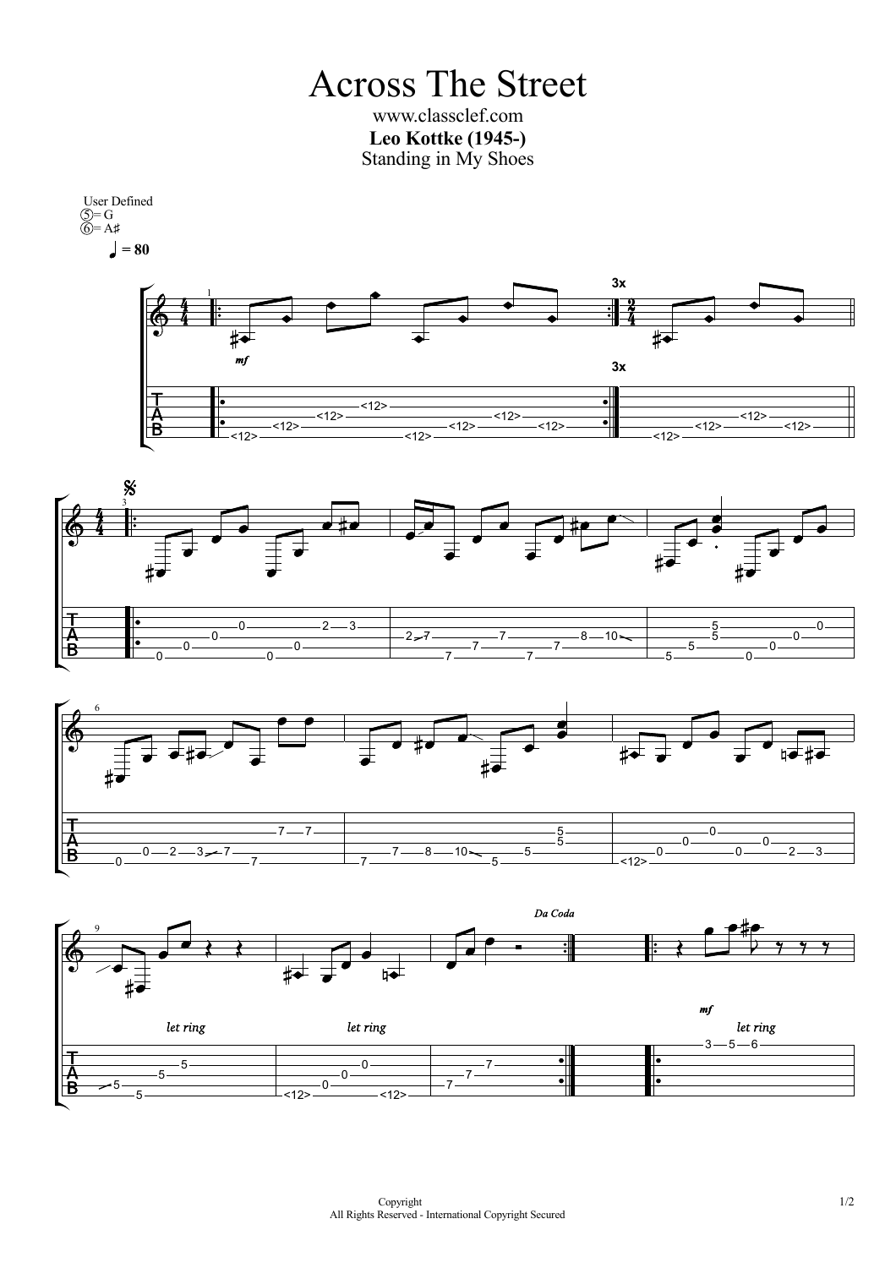Across The Street www.classclef.com **Leo Kottke (1945-)**



<12>